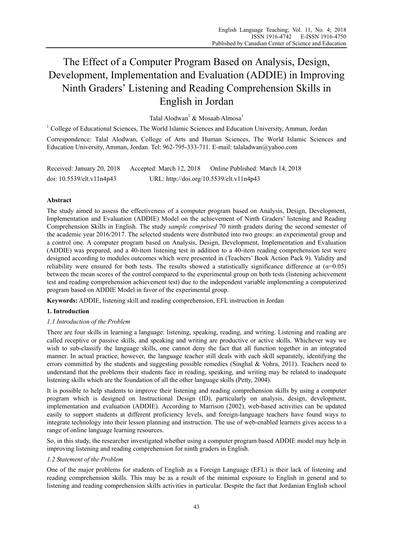# The Effect of a Computer Program Based on Analysis, Design, Development, Implementation and Evaluation (ADDIE) in Improving Ninth Graders' Listening and Reading Comprehension Skills in English in Jordan

Talal Alodwan<sup>1</sup> & Mosaab Almosa<sup>1</sup>

<sup>1</sup> College of Educational Sciences, The World Islamic Sciences and Education University, Amman, Jordan

Correspondence: Talal Alodwan, College of Arts and Human Sciences, The World Islamic Sciences and Education University, Amman, Jordan. Tel: 962-795-333-711. E-mail: talaladwan@yahoo.com

| Received: January 20, 2018      | Accepted: March 12, 2018                 | Online Published: March 14, 2018 |
|---------------------------------|------------------------------------------|----------------------------------|
| doi: $10.5539$ /elt.v $11n4p43$ | URL: http://doi.org/10.5539/elt.v11n4p43 |                                  |

# **Abstract**

The study aimed to assess the effectiveness of a computer program based on Analysis, Design, Development, Implementation and Evaluation (ADDIE) Model on the achievement of Ninth Graders' listening and Reading Comprehension Skills in English. The study *sample comprised* 70 ninth graders during the second semester of the academic year 2016/2017. The selected students were distributed into two groups: an experimental group and a control one. A computer program based on Analysis, Design, Development, Implementation and Evaluation (ADDIE) was prepared, and a 40-item listening test in addition to a 40-item reading comprehension test were designed according to modules outcomes which were presented in (Teachers' Book Action Pack 9). Validity and reliability were ensured for both tests. The results showed a statistically significance difference at  $(\alpha=0.05)$ between the mean scores of the control compared to the experimental group on both tests (listening achievement test and reading comprehension achievement test) due to the independent variable implementing a computerized program based on ADDIE Model in favor of the experimental group.

**Keywords:** ADDIE, listening skill and reading comprehension, EFL instruction in Jordan

# **1. Introduction**

# *1.1 Introduction of the Problem*

There are four skills in learning a language: listening, speaking, reading, and writing. Listening and reading are called receptive or passive skills, and speaking and writing are productive or active skills. Whichever way we wish to sub-classify the language skills, one cannot deny the fact that all function together in an integrated manner. In actual practice, however, the language teacher still deals with each skill separately, identifying the errors committed by the students and suggesting possible remedies (Singhal & Vohra, 2011). Teachers need to understand that the problems their students face in reading, speaking, and writing may be related to inadequate listening skills which are the foundation of all the other language skills (Petty, 2004).

It is possible to help students to improve their listening and reading comprehension skills by using a computer program which is designed on Instructional Design (ID), particularly on analysis, design, development, implementation and evaluation (ADDIE). According to Marrison (2002), web-based activities can be updated easily to support students at different proficiency levels, and foreign-language teachers have found ways to integrate technology into their lesson planning and instruction. The use of web-enabled learners gives access to a range of online language learning resources.

So, in this study, the researcher investigated whether using a computer program based ADDIE model may help in improving listening and reading comprehension for ninth graders in English.

## *1.2 Statement of the Problem*

One of the major problems for students of English as a Foreign Language (EFL) is their lack of listening and reading comprehension skills. This may be as a result of the minimal exposure to English in general and to listening and reading comprehension skills activities in particular. Despite the fact that Jordanian English school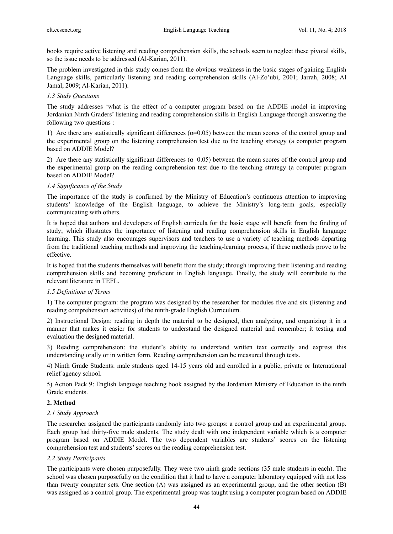books require active listening and reading comprehension skills, the schools seem to neglect these pivotal skills, so the issue needs to be addressed (Al-Karian, 2011).

The problem investigated in this study comes from the obvious weakness in the basic stages of gaining English Language skills, particularly listening and reading comprehension skills (Al-Zo'ubi, 2001; Jarrah, 2008; Al Jamal, 2009; Al-Karian, 2011).

## *1.3 Study Questions*

The study addresses 'what is the effect of a computer program based on the ADDIE model in improving Jordanian Ninth Graders' listening and reading comprehension skills in English Language through answering the following two questions :

1) Are there any statistically significant differences  $(\alpha=0.05)$  between the mean scores of the control group and the experimental group on the listening comprehension test due to the teaching strategy (a computer program based on ADDIE Model?

2) Are there any statistically significant differences ( $\alpha$ =0.05) between the mean scores of the control group and the experimental group on the reading comprehension test due to the teaching strategy (a computer program based on ADDIE Model?

## *1.4 Significance of the Study*

The importance of the study is confirmed by the Ministry of Education's continuous attention to improving students' knowledge of the English language, to achieve the Ministry's long-term goals, especially communicating with others.

It is hoped that authors and developers of English curricula for the basic stage will benefit from the finding of study; which illustrates the importance of listening and reading comprehension skills in English language learning. This study also encourages supervisors and teachers to use a variety of teaching methods departing from the traditional teaching methods and improving the teaching-learning process, if these methods prove to be effective.

It is hoped that the students themselves will benefit from the study; through improving their listening and reading comprehension skills and becoming proficient in English language. Finally, the study will contribute to the relevant literature in TEFL.

## *1.5 Definitions of Terms*

1) The computer program: the program was designed by the researcher for modules five and six (listening and reading comprehension activities) of the ninth-grade English Curriculum.

2) Instructional Design: reading in depth the material to be designed, then analyzing, and organizing it in a manner that makes it easier for students to understand the designed material and remember; it testing and evaluation the designed material.

3) Reading comprehension: the student's ability to understand written text correctly and express this understanding orally or in written form. Reading comprehension can be measured through tests.

4) Ninth Grade Students: male students aged 14-15 years old and enrolled in a public, private or International relief agency school.

5) Action Pack 9: English language teaching book assigned by the Jordanian Ministry of Education to the ninth Grade students.

# **2. Method**

## *2.1 Study Approach*

The researcher assigned the participants randomly into two groups: a control group and an experimental group. Each group had thirty-five male students. The study dealt with one independent variable which is a computer program based on ADDIE Model. The two dependent variables are students' scores on the listening comprehension test and students' scores on the reading comprehension test.

## *2.2 Study Participants*

The participants were chosen purposefully. They were two ninth grade sections (35 male students in each). The school was chosen purposefully on the condition that it had to have a computer laboratory equipped with not less than twenty computer sets. One section (A) was assigned as an experimental group, and the other section (B) was assigned as a control group. The experimental group was taught using a computer program based on ADDIE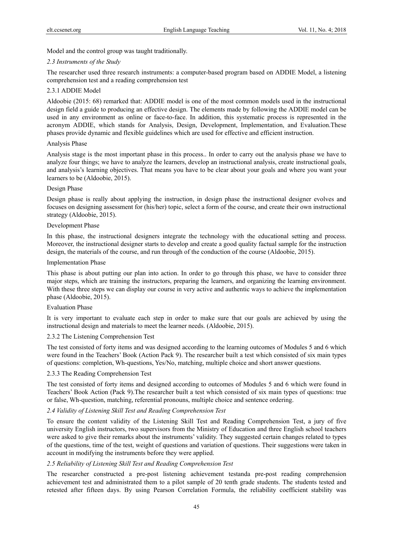Model and the control group was taught traditionally.

# *2.3 Instruments of the Study*

The researcher used three research instruments: a computer-based program based on ADDIE Model, a listening comprehension test and a reading comprehension test

# 2.3.1 ADDIE Model

Aldoobie (2015: 68) remarked that: ADDIE model is one of the most common models used in the instructional design field a guide to producing an effective design. The elements made by following the ADDIE model can be used in any environment as online or face-to-face. In addition, this systematic process is represented in the acronym ADDIE, which stands for Analysis, Design, Development, Implementation, and Evaluation.These phases provide dynamic and flexible guidelines which are used for effective and efficient instruction.

## Analysis Phase

Analysis stage is the most important phase in this process.. In order to carry out the analysis phase we have to analyze four things; we have to analyze the learners, develop an instructional analysis, create instructional goals, and analysis's learning objectives. That means you have to be clear about your goals and where you want your learners to be (Aldoobie, 2015).

# Design Phase

Design phase is really about applying the instruction, in design phase the instructional designer evolves and focuses on designing assessment for (his/her) topic, select a form of the course, and create their own instructional strategy (Aldoobie, 2015).

# Development Phase

In this phase, the instructional designers integrate the technology with the educational setting and process. Moreover, the instructional designer starts to develop and create a good quality factual sample for the instruction design, the materials of the course, and run through of the conduction of the course (Aldoobie, 2015).

## Implementation Phase

This phase is about putting our plan into action. In order to go through this phase, we have to consider three major steps, which are training the instructors, preparing the learners, and organizing the learning environment. With these three steps we can display our course in very active and authentic ways to achieve the implementation phase (Aldoobie, 2015).

## Evaluation Phase

It is very important to evaluate each step in order to make sure that our goals are achieved by using the instructional design and materials to meet the learner needs. (Aldoobie, 2015).

## 2.3.2 The Listening Comprehension Test

The test consisted of forty items and was designed according to the learning outcomes of Modules 5 and 6 which were found in the Teachers' Book (Action Pack 9). The researcher built a test which consisted of six main types of questions: completion, Wh-questions, Yes/No, matching, multiple choice and short answer questions.

## 2.3.3 The Reading Comprehension Test

The test consisted of forty items and designed according to outcomes of Modules 5 and 6 which were found in Teachers' Book Action (Pack 9).The researcher built a test which consisted of six main types of questions: true or false, Wh-question, matching, referential pronouns, multiple choice and sentence ordering.

# *2.4 Validity of Listening Skill Test and Reading Comprehension Test*

To ensure the content validity of the Listening Skill Test and Reading Comprehension Test, a jury of five university English instructors, two supervisors from the Ministry of Education and three English school teachers were asked to give their remarks about the instruments' validity. They suggested certain changes related to types of the questions, time of the test, weight of questions and variation of questions. Their suggestions were taken in account in modifying the instruments before they were applied.

# *2.5 Reliability of Listening Skill Test and Reading Comprehension Test*

The researcher constructed a pre-post listening achievement testanda pre-post reading comprehension achievement test and administrated them to a pilot sample of 20 tenth grade students. The students tested and retested after fifteen days. By using Pearson Correlation Formula, the reliability coefficient stability was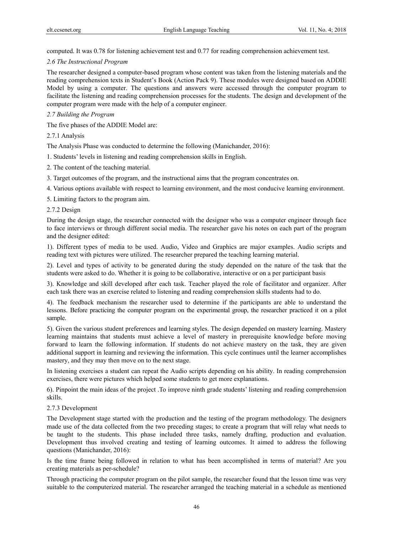computed. It was 0.78 for listening achievement test and 0.77 for reading comprehension achievement test.

#### *2.6 The Instructional Program*

The researcher designed a computer-based program whose content was taken from the listening materials and the reading comprehension texts in Student's Book (Action Pack 9). These modules were designed based on ADDIE Model by using a computer. The questions and answers were accessed through the computer program to facilitate the listening and reading comprehension processes for the students. The design and development of the computer program were made with the help of a computer engineer.

#### *2.7 Building the Program*

The five phases of the ADDIE Model are:

2.7.1 Analysis

The Analysis Phase was conducted to determine the following (Manichander, 2016):

1. Students' levels in listening and reading comprehension skills in English.

- 2. The content of the teaching material.
- 3. Target outcomes of the program, and the instructional aims that the program concentrates on.
- 4. Various options available with respect to learning environment, and the most conducive learning environment.

5. Limiting factors to the program aim.

#### 2.7.2 Design

During the design stage, the researcher connected with the designer who was a computer engineer through face to face interviews or through different social media. The researcher gave his notes on each part of the program and the designer edited:

1). Different types of media to be used. Audio, Video and Graphics are major examples. Audio scripts and reading text with pictures were utilized. The researcher prepared the teaching learning material.

2). Level and types of activity to be generated during the study depended on the nature of the task that the students were asked to do. Whether it is going to be collaborative, interactive or on a per participant basis

3). Knowledge and skill developed after each task. Teacher played the role of facilitator and organizer. After each task there was an exercise related to listening and reading comprehension skills students had to do.

4). The feedback mechanism the researcher used to determine if the participants are able to understand the lessons. Before practicing the computer program on the experimental group, the researcher practiced it on a pilot sample.

5). Given the various student preferences and learning styles. The design depended on mastery learning. Mastery learning maintains that students must achieve a level of mastery in prerequisite knowledge before moving forward to learn the following information. If students do not achieve mastery on the task, they are given additional support in learning and reviewing the information. This cycle continues until the learner accomplishes mastery, and they may then move on to the next stage.

In listening exercises a student can repeat the Audio scripts depending on his ability. In reading comprehension exercises, there were pictures which helped some students to get more explanations.

6). Pinpoint the main ideas of the project .To improve ninth grade students' listening and reading comprehension skills.

#### 2.7.3 Development

The Development stage started with the production and the testing of the program methodology. The designers made use of the data collected from the two preceding stages; to create a program that will relay what needs to be taught to the students. This phase included three tasks, namely drafting, production and evaluation. Development thus involved creating and testing of learning outcomes. It aimed to address the following questions (Manichander, 2016):

Is the time frame being followed in relation to what has been accomplished in terms of material? Are you creating materials as per-schedule?

Through practicing the computer program on the pilot sample, the researcher found that the lesson time was very suitable to the computerized material. The researcher arranged the teaching material in a schedule as mentioned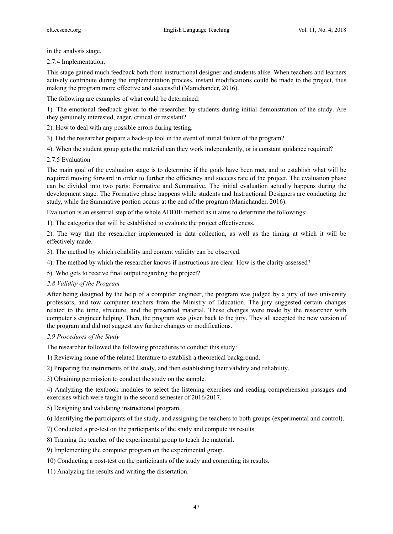in the analysis stage.

2.7.4 Implementation.

This stage gained much feedback both from instructional designer and students alike. When teachers and learners actively contribute during the implementation process, instant modifications could be made to the project, thus making the program more effective and successful (Manichander, 2016).

The following are examples of what could be determined:

1). The emotional feedback given to the researcher by students during initial demonstration of the study. Are they genuinely interested, eager, critical or resistant?

2). How to deal with any possible errors during testing.

- 3). Did the researcher prepare a back-up tool in the event of initial failure of the program?
- 4). When the student group gets the material can they work independently, or is constant guidance required?
- 2.7.5 Evaluation

The main goal of the evaluation stage is to determine if the goals have been met, and to establish what will be required moving forward in order to further the efficiency and success rate of the project. The evaluation phase can be divided into two parts: Formative and Summative. The initial evaluation actually happens during the development stage. The Formative phase happens while students and Instructional Designers are conducting the study, while the Summative portion occurs at the end of the program (Manichander, 2016).

Evaluation is an essential step of the whole ADDIE method as it aims to determine the followings:

1). The categories that will be established to evaluate the project effectiveness.

2). The way that the researcher implemented in data collection, as well as the timing at which it will be effectively made.

- 3). The method by which reliability and content validity can be observed.
- 4). The method by which the researcher knows if instructions are clear. How is the clarity assessed?
- 5). Who gets to receive final output regarding the project?

## *2.8 Validity of the Program*

After being designed by the help of a computer engineer, the program was judged by a jury of two university professors, and tow computer teachers from the Ministry of Education. The jury suggested certain changes related to the time, structure, and the presented material. These changes were made by the researcher with computer's engineer helping. Then, the program was given back to the jury. They all accepted the new version of the program and did not suggest any further changes or modifications.

# *2.9 Procedures of the Study*

The researcher followed the following procedures to conduct this study:

1) Reviewing some of the related literature to establish a theoretical background.

2) Preparing the instruments of the study, and then establishing their validity and reliability.

3) Obtaining permission to conduct the study on the sample.

4) Analyzing the textbook modules to select the listening exercises and reading comprehension passages and exercises which were taught in the second semester of 2016/2017.

5) Designing and validating instructional program.

6) Identifying the participants of the study, and assigning the teachers to both groups (experimental and control).

7) Conducted a pre-test on the participants of the study and compute its results.

8) Training the teacher of the experimental group to teach the material.

9) Implementing the computer program on the experimental group.

10) Conducting a post-test on the participants of the study and computing its results.

11) Analyzing the results and writing the dissertation.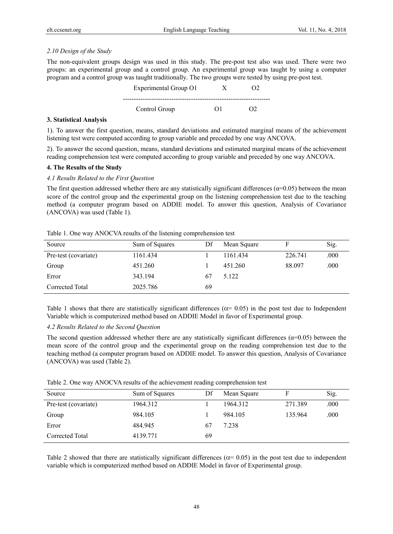# *2.10 Design of the Study*

The non-equivalent groups design was used in this study. The pre-post test also was used. There were two groups: an experimental group and a control group. An experimental group was taught by using a computer program and a control group was taught traditionally. The two groups were tested by using pre-post test.

| Experimental Group O1 |    |  |
|-----------------------|----|--|
| Control Group         | ונ |  |

## **3. Statistical Analysis**

1). To answer the first question, means, standard deviations and estimated marginal means of the achievement listening test were computed according to group variable and preceded by one way ANCOVA.

2). To answer the second question, means, standard deviations and estimated marginal means of the achievement reading comprehension test were computed according to group variable and preceded by one way ANCOVA.

# **4. The Results of the Study**

# *4.1 Results Related to the First Question*

The first question addressed whether there are any statistically significant differences ( $\alpha$ =0.05) between the mean score of the control group and the experimental group on the listening comprehension test due to the teaching method (a computer program based on ADDIE model. To answer this question, Analysis of Covariance (ANCOVA) was used (Table 1).

Table 1. One way ANOCVA results of the listening comprehension test

| Source               | Sum of Squares | Df | Mean Square |         | Sig. |
|----------------------|----------------|----|-------------|---------|------|
| Pre-test (covariate) | 1161.434       |    | 1161.434    | 226.741 | .000 |
| Group                | 451.260        |    | 451.260     | 88.097  | .000 |
| Error                | 343.194        | 67 | 5.122       |         |      |
| Corrected Total      | 2025.786       | 69 |             |         |      |

Table 1 shows that there are statistically significant differences ( $\alpha$ = 0.05) in the post test due to Independent Variable which is computerized method based on ADDIE Model in favor of Experimental group.

# *4.2 Results Related to the Second Question*

The second question addressed whether there are any statistically significant differences ( $\alpha$ =0.05) between the mean score of the control group and the experimental group on the reading comprehension test due to the teaching method (a computer program based on ADDIE model. To answer this question, Analysis of Covariance (ANCOVA) was used (Table 2).

|  |  | Table 2. One way ANOCVA results of the achievement reading comprehension test |  |  |
|--|--|-------------------------------------------------------------------------------|--|--|
|  |  |                                                                               |  |  |

| Source               | Sum of Squares | Df | Mean Square |         | Sig. |
|----------------------|----------------|----|-------------|---------|------|
| Pre-test (covariate) | 1964.312       |    | 1964.312    | 271.389 | .000 |
| Group                | 984.105        |    | 984.105     | 135.964 | .000 |
| Error                | 484.945        | 67 | 7.238       |         |      |
| Corrected Total      | 4139.771       | 69 |             |         |      |

Table 2 showed that there are statistically significant differences ( $\alpha$ = 0.05) in the post test due to independent variable which is computerized method based on ADDIE Model in favor of Experimental group.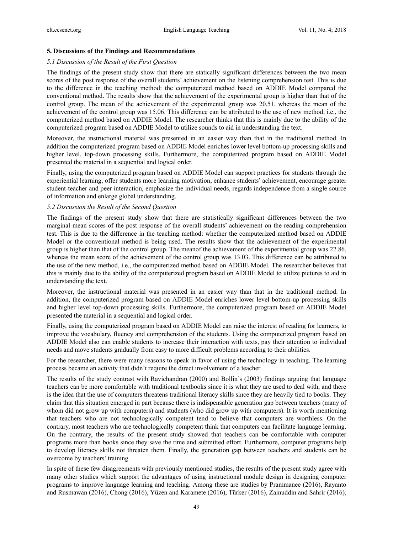#### **5. Discussions of the Findings and Recommendations**

#### *5.1 Discussion of the Result of the First Question*

The findings of the present study show that there are statically significant differences between the two mean scores of the post response of the overall students' achievement on the listening comprehension test. This is due to the difference in the teaching method: the computerized method based on ADDIE Model compared the conventional method. The results show that the achievement of the experimental group is higher than that of the control group. The mean of the achievement of the experimental group was 20.51, whereas the mean of the achievement of the control group was 15.06. This difference can be attributed to the use of new method, i.e., the computerized method based on ADDIE Model. The researcher thinks that this is mainly due to the ability of the computerized program based on ADDIE Model to utilize sounds to aid in understanding the text.

Moreover, the instructional material was presented in an easier way than that in the traditional method. In addition the computerized program based on ADDIE Model enriches lower level bottom-up processing skills and higher level, top-down processing skills. Furthermore, the computerized program based on ADDIE Model presented the material in a sequential and logical order.

Finally, using the computerized program based on ADDIE Model can support practices for students through the experiential learning, offer students more learning motivation, enhance students' achievement, encourage greater student-teacher and peer interaction, emphasize the individual needs, regards independence from a single source of information and enlarge global understanding.

#### *5.2 Discussion the Result of the Second Question*

The findings of the present study show that there are statistically significant differences between the two marginal mean scores of the post response of the overall students' achievement on the reading comprehension test. This is due to the difference in the teaching method: whether the computerized method based on ADDIE Model or the conventional method is being used. The results show that the achievement of the experimental group is higher than that of the control group. The meanof the achievement of the experimental group was 22.86, whereas the mean score of the achievement of the control group was 13.03. This difference can be attributed to the use of the new method, i.e., the computerized method based on ADDIE Model. The researcher believes that this is mainly due to the ability of the computerized program based on ADDIE Model to utilize pictures to aid in understanding the text.

Moreover, the instructional material was presented in an easier way than that in the traditional method. In addition, the computerized program based on ADDIE Model enriches lower level bottom-up processing skills and higher level top-down processing skills. Furthermore, the computerized program based on ADDIE Model presented the material in a sequential and logical order.

Finally, using the computerized program based on ADDIE Model can raise the interest of reading for learners, to improve the vocabulary, fluency and comprehension of the students. Using the computerized program based on ADDIE Model also can enable students to increase their interaction with texts, pay their attention to individual needs and move students gradually from easy to more difficult problems according to their abilities.

For the researcher, there were many reasons to speak in favor of using the technology in teaching. The learning process became an activity that didn't require the direct involvement of a teacher.

The results of the study contrast with Ravichandran (2000) and Bollin's (2003) findings arguing that language teachers can be more comfortable with traditional textbooks since it is what they are used to deal with, and there is the idea that the use of computers threatens traditional literacy skills since they are heavily tied to books. They claim that this situation emerged in part because there is indispensable generation gap between teachers (many of whom did not grow up with computers) and students (who did grow up with computers). It is worth mentioning that teachers who are not technologically competent tend to believe that computers are worthless. On the contrary, most teachers who are technologically competent think that computers can facilitate language learning. On the contrary, the results of the present study showed that teachers can be comfortable with computer programs more than books since they save the time and submitted effort. Furthermore, computer programs help to develop literacy skills not threaten them. Finally, the generation gap between teachers and students can be overcome by teachers' training.

In spite of these few disagreements with previously mentioned studies, the results of the present study agree with many other studies which support the advantages of using instructional module design in designing computer programs to improve language learning and teaching. Among these are studies by Prammanee (2016), Rayanto and Rusmawan (2016), Chong (2016), Yüzen and Karamete (2016), Türker (2016), Zainuddin and Sahrir (2016),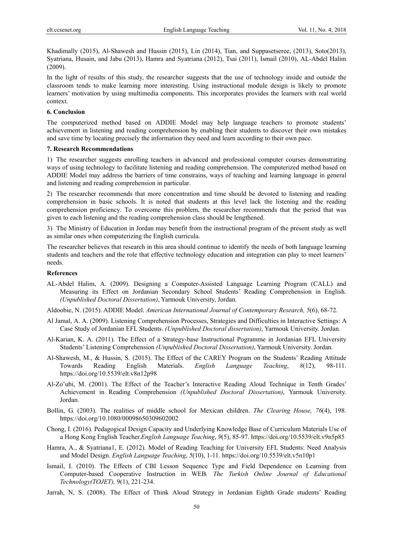Khadimally (2015), Al-Shawesh and Hussin (2015), Lin (2014), Tian, and Suppasetseree, (2013), Soto(2013), Syatriana, Husain, and Jabu (2013), Hamra and Syatriana (2012), Tsai (2011), Ismail (2010), AL-Abdel Halim (2009).

In the light of results of this study, the researcher suggests that the use of technology inside and outside the classroom tends to make learning more interesting. Using instructional module design is likely to promote learners' motivation by using multimedia components. This incorporates provides the learners with real world context.

#### **6. Conclusion**

The computerized method based on ADDIE Model may help language teachers to promote students' achievement in listening and reading comprehension by enabling their students to discover their own mistakes and save time by locating precisely the information they need and learn according to their own pace.

#### **7. Research Recommendations**

1) The researcher suggests enrolling teachers in advanced and professional computer courses demonstrating ways of using technology to facilitate listening and reading comprehension. The computerized method based on ADDIE Model may address the barriers of time constrains, ways of teaching and learning language in general and listening and reading comprehension in particular.

2) The researcher recommends that more concentration and time should be devoted to listening and reading comprehension in basic schools. It is noted that students at this level lack the listening and the reading comprehension proficiency. To overcome this problem, the researcher recommends that the period that was given to each listening and the reading comprehension class should be lengthened.

3) The Ministry of Education in Jordan may benefit from the instructional program of the present study as well as similar ones when computerizing the English curricula.

The researcher believes that research in this area should continue to identify the needs of both language learning students and teachers and the role that effective technology education and integration can play to meet learners' needs.

## **References**

AL-Abdel Halim, A. (2009). Designing a Computer-Assisted Language Learning Program (CALL) and Measuring its Effect on Jordanian Secondary School Students' Reading Comprehension in English. *(Unpublished Doctoral Dissertation)*, Yarmouk University, Jordan.

Aldoobie, N. (2015). ADDIE Model. *American International Journal of Contemporary Research, 5*(6), 68-72.

- Al Jamal, A. A. (2009). Listening Comprehension Processes, Strategies and Difficulties in Interactive Settings: A Case Study of Jordanian EFL Students. *(Unpublished Doctoral dissertation)*, Yarmouk University. Jordan.
- Al-Karian, K. A. (2011). The Effect of a Strategy-base Instructional Pogramme in Jordanian EFL University Students' Listening Comprehension *(Unpublished Doctoral Dissertation)*, Yarmouk University. Jordan.
- Al-Shawesh, M., & Hussin, S. (2015). The Effect of the CAREY Program on the Students' Reading Attitude Towards Reading English Materials. *English Language Teaching*, *8*(12), 98-111. https://doi.org/10.5539/elt.v8n12p98
- Al-Zo'ubi, M. (2001). The Effect of the Teacher's Interactive Reading Aloud Technique in Tenth Grades' Achievement in Reading Comprehension *(Unpublished Doctoral Dissertation)*, Yarmouk University. Jordan.
- Bollin, G. (2003). The realities of middle school for Mexican children. *The Clearing House, 76*(4), 198. https://doi.org/10.1080/00098650309602002
- Chong, I. (2016). Pedagogical Design Capacity and Underlying Knowledge Base of Curriculum Materials Use of a Hong Kong English Teacher.*English Language Teaching*, *9*(5), 85-97. https://doi.org/10.5539/elt.v9n5p85
- Hamra, A., & Syatriana1, E. (2012). Model of Reading Teaching for University EFL Students: Need Analysis and Model Design. *English Language Teaching*, *5*(10), 1-11. https://doi.org/10.5539/elt.v5n10p1
- Ismail, I. (2010). The Effects of CBI Lesson Sequence Type and Field Dependence on Learning from Computer-based Cooperative Instruction in WEB*. The Turkish Online Journal of Educational Technology(TOJET),* 9(1), 221-234.
- Jarrah, N, S. (2008). The Effect of Think Aloud Strategy in Jordanian Eighth Grade students' Reading